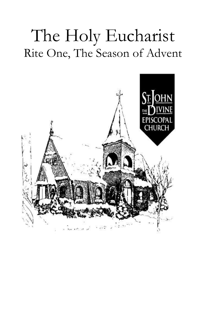# The Holy Eucharist Rite One, The Season of Advent

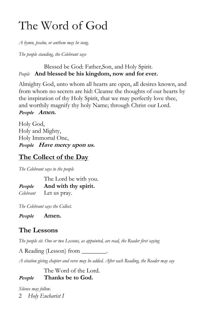## The Word of God

*A hymn, psalm, or anthem may be sung.*

*The people standing, the Celebrant says*

#### Blessed be God: Father,Son, and Holy Spirit. *People* **And blessed be his kingdom, now and for ever.**

Almighty God, unto whom all hearts are open, all desires known, and from whom no secrets are hid: Cleanse the thoughts of our hearts by the inspiration of thy Holy Spirit, that we may perfectly love thee, and worthily magnify thy holy Name; through Christ our Lord.

**People Amen.**

Holy God, Holy and Mighty, Holy Immortal One, **People Have mercy upon us.**

## **The Collect of the Day**

*The Celebrant says to the people*

The Lord be with you. **People And with thy spirit.** *Celebrant* Let us pray.

*The Celebrant says the Collect.*

**People Amen.**

## **The Lessons**

*The people sit. One or two Lessons, as appointed, are read, the Reader first saying*

A Reading (Lesson) from

*A citation giving chapter and verse may be added. After each Reading, the Reader may say*

The Word of the Lord. **People Thanks be to God.**

2 *Holy Eucharist I Silence may follow.*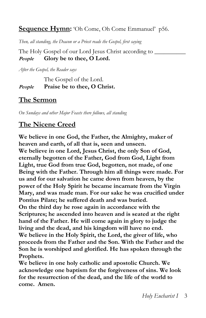**Sequence Hymn:** 'Oh Come, Oh Come Emmanuel' p56.

*Then, all standing, the Deacon or a Priest reads the Gospel, first saying*

The Holy Gospel of our Lord Jesus Christ according to \_\_\_\_\_\_\_\_\_\_ **People Glory be to thee, O Lord.**

*After the Gospel, the Reader says*

The Gospel of the Lord. **People Praise be to thee, O Christ.**

### **The Sermon**

*On Sundays and other Major Feasts there follows, all standing*

## **The Nicene Creed**

**We believe in one God, the Father, the Almighty, maker of heaven and earth, of all that is, seen and unseen. We believe in one Lord, Jesus Christ, the only Son of God, eternally begotten of the Father, God from God, Light from Light, true God from true God, begotten, not made, of one Being with the Father. Through him all things were made. For us and for our salvation he came down from heaven, by the power of the Holy Spirit he became incarnate from the Virgin Mary, and was made man. For our sake he was crucified under Pontius Pilate; he suffered death and was buried. On the third day he rose again in accordance with the Scriptures; he ascended into heaven and is seated at the right hand of the Father. He will come again in glory to judge the living and the dead, and his kingdom will have no end. We believe in the Holy Spirit, the Lord, the giver of life, who proceeds from the Father and the Son. With the Father and the Son he is worshiped and glorified. He has spoken through the Prophets.**

**We believe in one holy catholic and apostolic Church. We acknowledge one baptism for the forgiveness of sins. We look for the resurrection of the dead, and the life of the world to come. Amen.**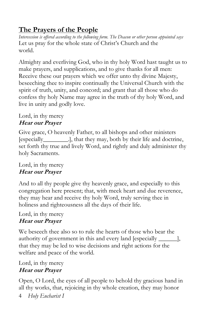## **The Prayers of the People**

*Intercession is offered according to the following form. The Deacon or other person appointed says* Let us pray for the whole state of Christ's Church and the world.

Almighty and everliving God, who in thy holy Word hast taught us to make prayers, and supplications, and to give thanks for all men: Receive these our prayers which we offer unto thy divine Majesty, beseeching thee to inspire continually the Universal Church with the spirit of truth, unity, and concord; and grant that all those who do confess thy holy Name may agree in the truth of thy holy Word, and live in unity and godly love.

#### Lord, in thy mercy **Hear our Prayer**

Give grace, O heavenly Father, to all bishops and other ministers [especially\_\_\_\_\_\_\_\_.], that they may, both by their life and doctrine, set forth thy true and lively Word, and rightly and duly administer thy holy Sacraments.

#### Lord, in thy mercy **Hear our Prayer**

And to all thy people give thy heavenly grace, and especially to this congregation here present; that, with meek heart and due reverence, they may hear and receive thy holy Word, truly serving thee in holiness and righteousness all the days of their life.

#### Lord, in thy mercy **Hear our Prayer**

We beseech thee also so to rule the hearts of those who bear the authority of government in this and every land [especially \_\_\_\_\_\_], that they may be led to wise decisions and right actions for the welfare and peace of the world.

Lord, in thy mercy **Hear our Prayer**

Open, O Lord, the eyes of all people to behold thy gracious hand in all thy works, that, rejoicing in thy whole creation, they may honor

4 *Holy Eucharist I*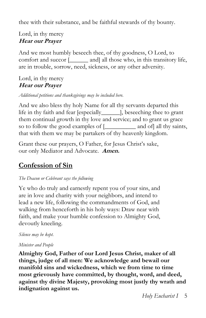thee with their substance, and be faithful stewards of thy bounty.

#### Lord, in thy mercy **Hear our Prayer**

And we most humbly beseech thee, of thy goodness, O Lord, to comfort and succor [\_\_\_\_\_\_ and] all those who, in this transitory life, are in trouble, sorrow, need, sickness, or any other adversity.

#### Lord, in thy mercy **Hear our Prayer**

*Additional petitions and thanksgivings may be included here.*

And we also bless thy holy Name for all thy servants departed this life in thy faith and fear [especially\_\_\_\_\_\_], beseeching thee to grant them continual growth in thy love and service; and to grant us grace so to follow the good examples of [\_\_\_\_\_\_\_\_\_\_ and of] all thy saints, that with them we may be partakers of thy heavenly kingdom.

Grant these our prayers, O Father, for Jesus Christ's sake, our only Mediator and Advocate. **Amen.**

## **Confession of Sin**

#### *The Deacon or Celebrant says the following*

Ye who do truly and earnestly repent you of your sins, and are in love and charity with your neighbors, and intend to lead a new life, following the commandments of God, and walking from henceforth in his holy ways: Draw near with faith, and make your humble confession to Almighty God, devoutly kneeling.

#### *Silence may be kept.*

#### *Minister and People*

**Almighty God, Father of our Lord Jesus Christ, maker of all things, judge of all men: We acknowledge and bewail our manifold sins and wickedness, which we from time to time most grievously have committed, by thought, word, and deed, against thy divine Majesty, provoking most justly thy wrath and indignation against us.**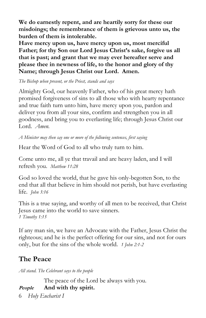**We do earnestly repent, and are heartily sorry for these our misdoings; the remembrance of them is grievous unto us, the burden of them is intolerable.**

**Have mercy upon us, have mercy upon us, most merciful Father; for thy Son our Lord Jesus Christ's sake, forgive us all that is past; and grant that we may ever hereafter serve and please thee in newness of life, to the honor and glory of thy Name; through Jesus Christ our Lord. Amen.**

*The Bishop when present, or the Priest, stands and says*

Almighty God, our heavenly Father, who of his great mercy hath promised forgiveness of sins to all those who with hearty repentance and true faith turn unto him, have mercy upon you, pardon and deliver you from all your sins, confirm and strengthen you in all goodness, and bring you to everlasting life; through Jesus Christ our Lord. *Amen.*

*A Minister may then say one or more of the following sentences, first saying*

Hear the Word of God to all who truly turn to him.

Come unto me, all ye that travail and are heavy laden, and I will refresh you. *Matthew 11:28*

God so loved the world, that he gave his only-begotten Son, to the end that all that believe in him should not perish, but have everlasting life. *John 3:16*

This is a true saying, and worthy of all men to be received, that Christ Jesus came into the world to save sinners. *1 Timothy 1:15*

If any man sin, we have an Advocate with the Father, Jesus Christ the righteous; and he is the perfect offering for our sins, and not for ours only, but for the sins of the whole world. *1 John 2:1-2*

## **The Peace**

*All stand. The Celebrant says to the people*

6 *Holy Eucharist I* The peace of the Lord be always with you. **People And with thy spirit.**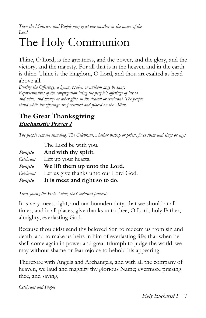*Then the Ministers and People may greet one another in the name of the Lord.*

## The Holy Communion

Thine, O Lord, is the greatness, and the power, and the glory, and the victory, and the majesty. For all that is in the heaven and in the earth is thine. Thine is the kingdom, O Lord, and thou art exalted as head above all.

*During the Offertory, a hymn, psalm, or anthem may be sung. Representatives of the congregation bring the people's offerings of bread and wine, and money or other gifts, to the deacon or celebrant. The people stand while the offerings are presented and placed on the Altar.*

### **The Great Thanksgiving Eucharistic Prayer I**

*The people remain standing. The Celebrant, whether bishop or priest, faces them and sings or says*

|           | The Lord be with you.                 |
|-----------|---------------------------------------|
| People    | And with thy spirit.                  |
| Celebrant | Lift up your hearts.                  |
| People    | We lift them up unto the Lord.        |
| Celebrant | Let us give thanks unto our Lord God. |
| People    | It is meet and right so to do.        |

*Then, facing the Holy Table, the Celebrant proceeds*

It is very meet, right, and our bounden duty, that we should at all times, and in all places, give thanks unto thee, O Lord, holy Father, almighty, everlasting God.

Because thou didst send thy beloved Son to redeem us from sin and death, and to make us heirs in him of everlasting life; that when he shall come again in power and great triumph to judge the world, we may without shame or fear rejoice to behold his appearing.

Therefore with Angels and Archangels, and with all the company of heaven, we laud and magnify thy glorious Name; evermore praising thee, and saying,

*Celebrant and People*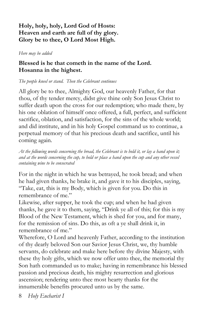#### **Holy, holy, holy, Lord God of Hosts: Heaven and earth are full of thy glory. Glory be to thee, O Lord Most High.**

*Here may be added*

#### **Blessed is he that cometh in the name of the Lord. Hosanna in the highest.**

#### *The people kneel or stand. Then the Celebrant continues*

All glory be to thee, Almighty God, our heavenly Father, for that thou, of thy tender mercy, didst give thine only Son Jesus Christ to suffer death upon the cross for our redemption; who made there, by his one oblation of himself once offered, a full, perfect, and sufficient sacrifice, oblation, and satisfaction, for the sins of the whole world; and did institute, and in his holy Gospel command us to continue, a perpetual memory of that his precious death and sacrifice, until his coming again.

*At the following words concerning the bread, the Celebrant is to hold it, or lay a hand upon it; and at the words concerning the cup, to hold or place a hand upon the cup and any other vessel containing wine to be consecrated*

For in the night in which he was betrayed, he took bread; and when he had given thanks, he brake it, and gave it to his disciples, saying, "Take, eat, this is my Body, which is given for you. Do this in remembrance of me."

Likewise, after supper, he took the cup; and when he had given thanks, he gave it to them, saying, "Drink ye all of this; for this is my Blood of the New Testament, which is shed for you, and for many, for the remission of sins. Do this, as oft a ye shall drink it, in remembrance of me."

Wherefore, O Lord and heavenly Father, according to the institution of thy dearly beloved Son our Savior Jesus Christ, we, thy humble servants, do celebrate and make here before thy divine Majesty, with these thy holy gifts, which we now offer unto thee, the memorial thy Son hath commanded us to make; having in remembrance his blessed passion and precious death, his mighty resurrection and glorious ascension; rendering unto thee most hearty thanks for the innumerable benefits procured unto us by the same.

8 *Holy Eucharist I*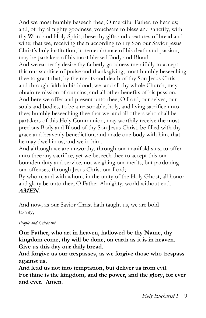And we most humbly beseech thee, O merciful Father, to hear us; and, of thy almighty goodness, vouchsafe to bless and sanctify, with thy Word and Holy Spirit, these thy gifts and creatures of bread and wine; that we, receiving them according to thy Son our Savior Jesus Christ's holy institution, in remembrance of his death and passion, may be partakers of his most blessed Body and Blood.

And we earnestly desire thy fatherly goodness mercifully to accept this our sacrifice of praise and thanksgiving; most humbly beseeching thee to grant that, by the merits and death of thy Son Jesus Christ, and through faith in his blood, we, and all thy whole Church, may obtain remission of our sins, and all other benefits of his passion. And here we offer and present unto thee, O Lord, our selves, our souls and bodies, to be a reasonable, holy, and living sacrifice unto thee; humbly beseeching thee that we, and all others who shall be partakers of this Holy Communion, may worthily receive the most precious Body and Blood of thy Son Jesus Christ, be filled with thy grace and heavenly benediction, and made one body with him, that he may dwell in us, and we in him.

And although we are unworthy, through our manifold sins, to offer unto thee any sacrifice, yet we beseech thee to accept this our bounden duty and service, not weighing our merits, but pardoning our offenses, through Jesus Christ our Lord;

By whom, and with whom, in the unity of the Holy Ghost, all honor and glory be unto thee, O Father Almighty, world without end. **AMEN.**

And now, as our Savior Christ hath taught us, we are bold to say,

#### *People and Celebrant*

**Our Father, who art in heaven, hallowed be thy Name, thy kingdom come, thy will be done, on earth as it is in heaven. Give us this day our daily bread.**

**And forgive us our trespasses, as we forgive those who trespass against us.**

**And lead us not into temptation, but deliver us from evil. For thine is the kingdom, and the power, and the glory, for ever and ever. Amen**.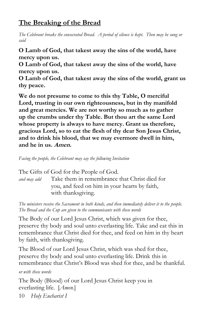## **The Breaking of the Bread**

*The Celebrant breaks the consecrated Bread. A period of silence is kept. Then may be sung or said*

**O Lamb of God, that takest away the sins of the world, have mercy upon us.**

**O Lamb of God, that takest away the sins of the world, have mercy upon us.**

**O Lamb of God, that takest away the sins of the world, grant us thy peace.**

**We do not presume to come to this thy Table, O merciful Lord, trusting in our own righteousness, but in thy manifold and great mercies. We are not worthy so much as to gather up the crumbs under thy Table. But thou art the same Lord whose property is always to have mercy. Grant us therefore, gracious Lord, so to eat the flesh of thy dear Son Jesus Christ, and to drink his blood, that we may evermore dwell in him, and he in us. Amen.**

*Facing the people, the Celebrant may say the following Invitation*

The Gifts of God for the People of God.

*and may add* Take them in remembrance that Christ died for you, and feed on him in your hearts by faith, with thanksgiving.

*The ministers receive the Sacrament in both kinds, and then immediately deliver it to the people. The Bread and the Cup are given to the communicants with these words*

The Body of our Lord Jesus Christ, which was given for thee, preserve thy body and soul unto everlasting life. Take and eat this in remembrance that Christ died for thee, and feed on him in thy heart by faith, with thanksgiving.

The Blood of our Lord Jesus Christ, which was shed for thee, preserve thy body and soul unto everlasting life. Drink this in remembrance that Christ's Blood was shed for thee, and be thankful.

*or with these words*

10 *Holy Eucharist I* The Body (Blood) of our Lord Jesus Christ keep you in everlasting life. [*Amen.*]